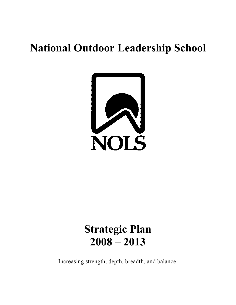# **National Outdoor Leadership School**



# **Strategic Plan 2008 – 2013**

Increasing strength, depth, breadth, and balance.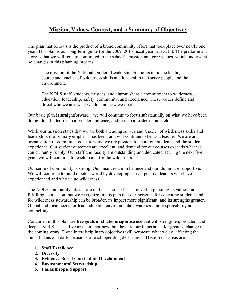# **Mission, Values, Context, and a Summary of Objectives**

The plan that follows is the product of a broad community effort that took place over nearly one year. This plan is our long-term guide for the 2009–2013 fiscal years at NOLS. The predominant story is that we will remain committed to the school's mission and core values, which underwent no changes in this planning process.

The mission of the National Outdoor Leadership School is to be the leading source and teacher of wilderness skills and leadership that serve people and the environment.

The NOLS staff, students, trustees, and alumni share a commitment to wilderness, education, leadership, safety, community, and excellence. These values define and direct who we are, what we do, and how we do it.

Our basic plan is straightforward—we will continue to focus substantially on what we have been doing, do it better, reach a broader audience, and remain a leader in our field.

While our mission states that we are both a leading *source* and *teacher* of wilderness skills and leadership, our primary emphasis has been, and will continue to be, as a teacher. We are an organization of committed educators and we are passionate about our students and the student experience. Our student outcomes are excellent, and demand for our courses exceeds what we can currently supply. Our staff and faculty are outstanding and dedicated. During the next five years we will continue to teach in and for the wilderness.

Our sense of community is strong. Our finances are in balance and our alumni are supportive. We will continue to build a better world by developing active, positive leaders who have experienced and who value wilderness.

The NOLS community takes pride in the success it has achieved in pursuing its values and fulfilling its mission, but we recognize in this plan that our horizons for educating students and for wilderness stewardship can be broader, its impact more significant, and its strengths greater. Global and local needs for leadership and environmental awareness and responsibility are compelling.

Contained in this plan are **five goals of strategic significance** that will strengthen, broaden, and deepen NOLS. These five areas are not new, but they are our focus areas for greatest change in the coming years. These interdisciplinary objectives will permeate what we do, affecting the annual plans and daily decisions of each operating department. These focus areas are:

- **1. Staff Excellence**
- **2. Diversity**
- **3. Evidence-Based Curriculum Development**
- **4. Environmental Stewardship**
- **5. Philanthropic Support**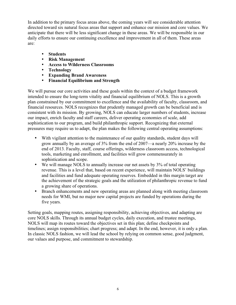In addition to the primary focus areas above, the coming years will see considerable attention directed toward six natural focus areas that support and enhance our mission and core values. We anticipate that there will be less significant change in these areas. We will be responsible in our daily efforts to ensure our continuing excellence and improvement in all of them. These areas are:

- **Students**
- **Risk Management**
- **Access to Wilderness Classrooms**
- **Technology**
- **Expanding Brand Awareness**
- **Financial Equilibrium and Strength**

We will pursue our core activities and these goals within the context of a budget framework intended to ensure the long-term vitality and financial equilibrium of NOLS. This is a growth plan constrained by our commitment to excellence and the availability of faculty, classroom, and financial resources. NOLS recognizes that prudently managed growth can be beneficial and is consistent with its mission. By growing, NOLS can educate larger numbers of students, increase our impact, enrich faculty and staff careers, deliver operating economies of scale, add sophistication to our program, and build philanthropic support. Recognizing that external pressures may require us to adapt, the plan makes the following central operating assumptions:

- With vigilant attention to the maintenance of our quality standards, student days will grow annually by an average of 3% from the end of 2007—a nearly 20% increase by the end of 2013. Faculty, staff, course offerings, wilderness classroom access, technological tools, marketing and enrollment, and facilities will grow commensurately in sophistication and scope.
- We will manage NOLS to annually increase our net assets by 3% of total operating revenue. This is a level that, based on recent experience, will maintain NOLS' buildings and facilities and fund adequate operating reserves. Embedded in this margin target are the achievement of the strategic goals and the utilization of philanthropic revenue to fund a growing share of operations.
- Branch enhancements and new operating areas are planned along with meeting classroom needs for WMI, but no major new capital projects are funded by operations during the five years.

Setting goals, mapping routes, assigning responsibility, achieving objectives, and adapting are core NOLS skills. Through its annual budget cycles, daily execution, and trustee meetings, NOLS will map its routes toward the objectives set in this plan; define checkpoints and timelines; assign responsibilities; chart progress; and adapt. In the end, however, it is only a plan. In classic NOLS fashion, we will lead the school by relying on common sense, good judgment, our values and purpose, and commitment to stewardship.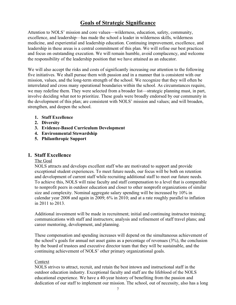# **Goals of Strategic Significance**

Attention to NOLS' mission and core values—wilderness, education, safety, community, excellence, and leadership—has made the school a leader in wilderness skills, wilderness medicine, and experiential and leadership education. Continuing improvement, excellence, and leadership in these areas is a central commitment of this plan. We will refine our best practices and focus on outstanding execution. We will remain humble, avoid complacency, and welcome the responsibility of the leadership position that we have attained as an educator.

We will also accept the risks and costs of significantly increasing our attention to the following five initiatives. We shall pursue them with passion and in a manner that is consistent with our mission, values, and the long-term strength of the school. We recognize that they will often be interrelated and cross many operational boundaries within the school. As circumstances require, we may redefine them. They were selected from a broader list—strategic planning must, in part, involve deciding what not to prioritize. These goals were broadly endorsed by our community in the development of this plan; are consistent with NOLS' mission and values; and will broaden, strengthen, and deepen the school.

- **1. Staff Excellence**
- **2. Diversity**
- **3. Evidence-Based Curriculum Development**
- **4. Environmental Stewardship**
- **5. Philanthropic Support**

#### **1. Staff Excellence**

#### The Goal

NOLS attracts and develops excellent staff who are motivated to support and provide exceptional student experiences. To meet future needs, our focus will be both on retention and development of current staff while recruiting additional staff to meet our future needs. To achieve this, NOLS will raise faculty and staff compensation to a level that is comparable to nonprofit peers in outdoor education and closer to other nonprofit organizations of similar size and complexity. Nominal aggregate salary spending will be increased by 10% in calendar year 2008 and again in 2009; 6% in 2010; and at a rate roughly parallel to inflation in 2011 to 2013.

Additional investment will be made in recruitment; initial and continuing instructor training; communications with staff and instructors; analysis and refinement of staff travel plans; and career mentoring, development, and planning.

These compensation and spending increases will depend on the simultaneous achievement of the school's goals for annual net asset gains as a percentage of revenues (3%), the conclusion by the board of trustees and executive director team that they will be sustainable, and the continuing achievement of NOLS' other primary organizational goals.

#### Context

NOLS strives to attract, recruit, and retain the best intown and instructional staff in the outdoor education industry. Exceptional faculty and staff are the lifeblood of the NOLS educational experience. We have a 40-year history of benefiting from the passion and dedication of our staff to implement our mission. The school, out of necessity, also has a long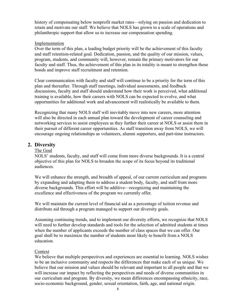history of compensating below nonprofit market rates—relying on passion and dedication to retain and motivate our staff. We believe that NOLS has grown to a scale of operations and philanthropic support that allow us to increase our compensation spending.

#### Implementation

Over the term of this plan, a leading budget priority will be the achievement of this faculty and staff retention-related goal. Dedication, passion, and the quality of our mission, values, program, students, and community will, however, remain the primary motivators for our faculty and staff. Thus, the achievement of this plan in its totality is meant to strengthen those bonds and improve staff recruitment and retention.

Clear communication with faculty and staff will continue to be a priority for the term of this plan and thereafter. Through staff meetings, individual assessments, and feedback discussions, faculty and staff should understand how their work is perceived, what additional training is available, how their careers with NOLS can be expected to evolve, and what opportunities for additional work and advancement will realistically be available to them.

Recognizing that many NOLS staff will inevitably move into new careers, more attention will also be directed in each annual plan toward the development of career counseling and networking services to assist employees as they further their career at NOLS or assist them in their pursuit of different career opportunities. As staff transition away from NOLS, we will encourage ongoing relationships as volunteers, alumni supporters, and part-time instructors.

## **2. Diversity**

## The Goal

NOLS' students, faculty, and staff will come from more diverse backgrounds. It is a central objective of this plan for NOLS to broaden the scope of its focus beyond its traditional audiences.

We will enhance the strength, and breadth of appeal, of our current curriculum and programs by expanding and adapting them to address a student body, faculty, and staff from more diverse backgrounds. This effort will be additive—recognizing and maintaining the excellence and effectiveness of the program we currently offer.

We will maintain the current level of financial aid as a percentage of tuition revenue and distribute aid through a program managed to support our diversity goals.

Assuming continuing trends, and to implement our diversity efforts, we recognize that NOLS will need to further develop standards and tools for the selection of admitted students at times when the number of applicants exceeds the number of class spaces that we can offer. Our goal shall be to maximize the number of students most likely to benefit from a NOLS education.

## **Context**

We believe that multiple perspectives and experiences are essential to learning. NOLS wishes to be an inclusive community and respects the differences that make each of us unique. We believe that our mission and values should be relevant and important to all people and that we will increase our impact by reflecting the perspectives and needs of diverse communities in our curriculum and program. By diversity, we mean differences encompassing ethnicity, race, socio-economic background, gender, sexual orientation, faith, age, and national origin.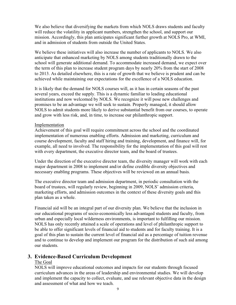We also believe that diversifying the markets from which NOLS draws students and faculty will reduce the volatility in applicant numbers, strengthen the school, and support our mission. Accordingly, this plan anticipates significant further growth at NOLS Pro, at WMI, and in admission of students from outside the United States.

We believe these initiatives will also increase the number of applicants to NOLS. We also anticipate that enhanced marketing by NOLS among students traditionally drawn to the school will generate additional demand. To accommodate increased demand, we expect over the term of this plan to increase student program days by nearly 20% from the start of 2008 to 2013. As detailed elsewhere, this is a rate of growth that we believe is prudent and can be achieved while maintaining our expectations for the excellence of a NOLS education.

It is likely that the demand for NOLS courses will, as it has in certain seasons of the past several years, exceed the supply. This is a dynamic familiar to leading educational institutions and now welcomed by NOLS. We recognize it will pose new challenges and promises to be an advantage we will seek to sustain. Properly managed, it should allow NOLS to admit students more likely to derive substantial benefit from our courses, to operate and grow with less risk, and, in time, to increase our philanthropic support.

#### Implementation

Achievement of this goal will require commitment across the school and the coordinated implementation of numerous enabling efforts. Admission and marketing, curriculum and course development, faculty and staff hiring and training, development, and finance will, for example, all need to involved. The responsibility for the implementation of this goal will rest with every department, the executive director team, and the board of trustees.

Under the direction of the executive director team, the diversity manager will work with each major department in 2008 to implement and/or define credible diversity objectives and necessary enabling programs. These objectives will be reviewed on an annual basis.

The executive director team and admission department, in periodic consultation with the board of trustees, will regularly review, beginning in 2009, NOLS' admission criteria, marketing efforts, and admission outcomes in the context of these diversity goals and this plan taken as a whole.

Financial aid will be an integral part of our diversity plan. We believe that the inclusion in our educational programs of socio-economically less advantaged students and faculty, from urban and especially local wilderness environments, is important to fulfilling our mission. NOLS has only recently attained a scale of operations and level of philanthropic support to be able to offer significant levels of financial aid to students and for faculty training. It is a goal of this plan to sustain the current level of financial aid as a percentage of tuition revenue and to continue to develop and implement our program for the distribution of such aid among our students.

## **3. Evidence-Based Curriculum Development**

#### The Goal

NOLS will improve educational outcomes and impacts for our students through focused curriculum advances in the areas of leadership and environmental studies. We will develop and implement the capacity to collect, evaluate, and use relevant objective data in the design and assessment of what and how we teach.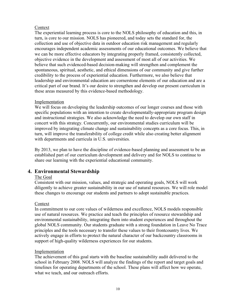#### Context

The experiential learning process is core to the NOLS philosophy of education and this, in turn, is core to our mission. NOLS has pioneered, and today sets the standard for, the collection and use of objective data in outdoor education risk management and regularly encourages independent academic assessments of our educational outcomes. We believe that we can be more effective educators by integrating properly framed, consistently collected, objective evidence in the development and assessment of most all of our activities. We believe that such evidenced-based decision-making will strengthen and complement the spontaneous, spiritual, aesthetic, and ethical dimensions of our community and give further credibility to the process of experiential education. Furthermore, we also believe that leadership and environmental education are cornerstone elements of our education and are a critical part of our brand. It's our desire to strengthen and develop our present curriculum in these areas measured by this evidence-based methodology.

#### Implementation

We will focus on developing the leadership outcomes of our longer courses and those with specific populations with an intention to create developmentally-appropriate program design and instructional strategies. We also acknowledge the need to develop our own staff in concert with this strategy. Concurrently, our environmental studies curriculum will be improved by integrating climate change and sustainability concepts as a core focus. This, in turn, will improve the transferability of college credit while also creating better alignment with departments and curricula in U.S. universities.

By 2013, we plan to have the discipline of evidence-based planning and assessment to be an established part of our curriculum development and delivery and for NOLS to continue to share our learning with the experiential educational community.

## **4. Environmental Stewardship**

## The Goal

Consistent with our mission, values, and strategic and operating goals, NOLS will work diligently to achieve greater sustainability in our use of natural resources. We will role model these changes to encourage our students and partners to adopt sustainable practices.

## Context

In commitment to our core values of wilderness and excellence, NOLS models responsible use of natural resources. We practice and teach the principles of resource stewardship and environmental sustainability, integrating them into student experiences and throughout the global NOLS community. Our students graduate with a strong foundation in Leave No Trace principles and the tools necessary to transfer these values to their frontcountry lives. We actively engage in efforts to protect the natural character of our backcountry classrooms in support of high-quality wilderness experiences for our students.

## Implementation

The achievement of this goal starts with the baseline sustainability audit delivered to the school in February 2008. NOLS will analyze the findings of the report and target goals and timelines for operating departments of the school. These plans will affect how we operate, what we teach, and our outreach efforts.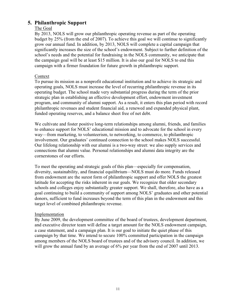## **5. Philanthropic Support**

## The Goal

By 2013, NOLS will grow our philanthropic operating revenue as part of the operating budget by 25% (from the end of 2007). To achieve this goal we will continue to significantly grow our annual fund. In addition, by 2013, NOLS will complete a capital campaign that significantly increases the size of the school's endowment. Subject to further definition of the school's needs and the potential for fundraising in the NOLS community, we anticipate that the campaign goal will be at least \$15 million. It is also our goal for NOLS to end this campaign with a firmer foundation for future growth in philanthropic support.

## **Context**

To pursue its mission as a nonprofit educational institution and to achieve its strategic and operating goals, NOLS must increase the level of recurring philanthropic revenue in its operating budget. The school made very substantial progress during the term of the prior strategic plan in establishing an effective development effort, endowment investment program, and community of alumni support. As a result, it enters this plan period with record philanthropic revenues and student financial aid, a renewed and expanded physical plant, funded operating reserves, and a balance sheet free of net debt.

We cultivate and foster positive long-term relationships among alumni, friends, and families to enhance support for NOLS' educational mission and to advocate for the school in every way—from marketing, to volunteerism, to networking, to commerce, to philanthropic involvement. Our graduates' continued connection to the school makes NOLS successful. Our lifelong relationship with our alumni is a two-way street: we also supply services and connections that alumni value. Personal relationships and alumni data integrity are the cornerstones of our efforts.

To meet the operating and strategic goals of this plan—especially for compensation, diversity, sustainability, and financial equilibrium—NOLS must do more. Funds released from endowment are the surest form of philanthropic support and offer NOLS the greatest latitude for accepting the risks inherent in our goals. We recognize that older secondary schools and colleges enjoy substantially greater support. We shall, therefore, also have as a goal continuing to build a community of support among NOLS' graduates and other potential donors, sufficient to fund increases beyond the term of this plan in the endowment and this target level of combined philanthropic revenue.

## Implementation

By June 2009, the development committee of the board of trustees, development department, and executive director team will define a target amount for the NOLS endowment campaign, a case statement, and a campaign plan. It is our goal to initiate the quiet phase of this campaign by that time. We intend to secure 100% committed participation in the campaign among members of the NOLS board of trustees and of the advisory council. In addition, we will grow the annual fund by an average of 6% per year from the end of 2007 until 2013.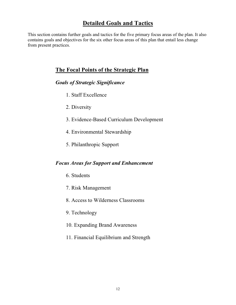# **Detailed Goals and Tactics**

This section contains further goals and tactics for the five primary focus areas of the plan. It also contains goals and objectives for the six other focus areas of this plan that entail less change from present practices.

# **The Focal Points of the Strategic Plan**

## *Goals of Strategic Significance*

- 1. Staff Excellence
- 2. Diversity
- 3. Evidence-Based Curriculum Development
- 4. Environmental Stewardship
- 5. Philanthropic Support

# *Focus Areas for Support and Enhancement*

- 6. Students
- 7. Risk Management
- 8. Access to Wilderness Classrooms
- 9. Technology
- 10. Expanding Brand Awareness
- 11. Financial Equilibrium and Strength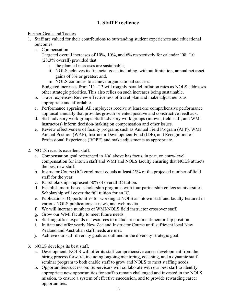# **1. Staff Excellence**

## Further Goals and Tactics

- 1. Staff are valued for their contributions to outstanding student experiences and educational outcomes.
	- a. Compensation

Targeted overall increases of 10%, 10%, and 6% respectively for calendar '08–'10 (28.3% overall) provided that:

- i. the planned increases are sustainable;
- ii. NOLS achieves its financial goals including, without limitation, annual net asset gains of 3% or greater; and,
- iii. NOLS continues to achieve organizational success.

Budgeted increases from '11–'13 will roughly parallel inflation rates as NOLS addresses other strategic priorities. This also relies on such increases being sustainable.

- b. Travel expenses: Review effectiveness of travel plan and make adjustments as appropriate and affordable.
- c. Performance appraisal: All employees receive at least one comprehensive performance appraisal annually that provides growth-oriented positive and constructive feedback.
- d. Staff advisory work groups: Staff advisory work groups (intown, field staff, and WMI instructors) inform decision-making on compensation and other issues.
- e. Review effectiveness of faculty programs such as Annual Field Program (AFP), WMI Annual Position (WAP), Instructor Development Fund (IDF), and Recognition of Professional Experience (ROPE) and make adjustments as appropriate.
- 2. NOLS recruits excellent staff.
	- a. Compensation goal referenced in 1(a) above has focus, in part, on entry-level compensation for intown staff and WMI and NOLS faculty ensuring that NOLS attracts the best new staff.
	- b. Instructor Course (IC) enrollment equals at least 25% of the projected number of field staff for the year.
	- c. IC scholarships represent 50% of overall IC tuition.
	- d. Establish merit-based scholarship programs with four partnership colleges/universities. Scholarship will cover the full tuition for an IC.
	- e. Publications: Opportunities for working at NOLS as intown staff and faculty featured in various NOLS publications, e-news, and web media.
	- f. We will increase numbers of WMI/NOLS field instructor crossover staff.
	- g. Grow our WMI faculty to meet future needs.
	- h. Staffing office expands its resources to include recruitment/mentorship position.
	- i. Initiate and offer yearly New Zealand Instructor Course until sufficient local New Zealand and Australian staff needs are met.
	- j. Achieve our staff diversity goals as outlined in the diversity strategic goal.
- 3. NOLS develops its best staff.
	- a. Development: NOLS will offer its staff comprehensive career development from the hiring process forward, including ongoing mentoring, coaching, and a dynamic staff seminar program to both enable staff to grow and NOLS to meet staffing needs.
	- b. Opportunities/succession: Supervisors will collaborate with our best staff to identify appropriate new opportunities for staff to remain challenged and invested in the NOLS mission, to ensure a system of effective succession, and to provide rewarding career opportunities.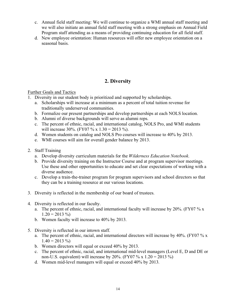- c. Annual field staff meeting: We will continue to organize a WMI annual staff meeting and we will also initiate an annual field staff meeting with a strong emphasis on Annual Field Program staff attending as a means of providing continuing education for all field staff.
- d. New employee orientation: Human resources will offer new employee orientation on a seasonal basis.

# **2. Diversity**

- 1. Diversity in our student body is prioritized and supported by scholarships.
	- a. Scholarships will increase at a minimum as a percent of total tuition revenue for traditionally underserved communities.
	- b. Formalize our present partnerships and develop partnerships at each NOLS location.
	- b. Alumni of diverse backgrounds will serve as alumni reps.
	- c. The percent of ethnic, racial, and international catalog, NOLS Pro, and WMI students will increase 30%. (FY07 % x  $1.30 = 2013$  %).
	- d. Women students on catalog and NOLS Pro courses will increase to 40% by 2013.
	- e. WMI courses will aim for overall gender balance by 2013.
- 2. Staff Training
	- a. Develop diversity curriculum materials for the *Wilderness Education Notebook*.
	- b. Provide diversity training on the Instructor Course and at program supervisor meetings. Use these and other opportunities to educate and set clear expectations of working with a diverse audience.
	- c. Develop a train-the-trainer program for program supervisors and school directors so that they can be a training resource at our various locations.
- 3. Diversity is reflected in the membership of our board of trustees.
- 4. Diversity is reflected in our faculty.
	- a. The percent of ethnic, racial, and international faculty will increase by 20%. (FY07 % x  $1.20 = 2013\%$
	- b. Women faculty will increase to 40% by 2013.
- 5. Diversity is reflected in our intown staff.
	- a. The percent of ethnic, racial, and international directors will increase by 40%. (FY07 % x  $1.40 = 2013\%$
	- b. Women directors will equal or exceed 40% by 2013.
	- c. The percent of ethnic, racial, and international mid-level managers (Level E, D and DE or non-U.S. equivalent) will increase by 20%. (FY07 % x  $1.20 = 2013$  %)
	- d. Women mid-level managers will equal or exceed 40% by 2013.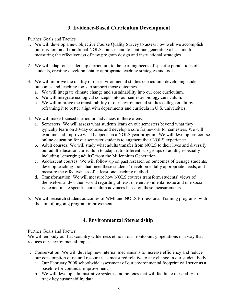# **3. Evidence-Based Curriculum Development**

## Further Goals and Tactics

- 1. We will develop a new objective Course Quality Survey to assess how well we accomplish our mission on all traditional NOLS courses, and to continue generating a baseline for measuring the effectiveness of new program design and instructional strategies.
- 2. We will adapt our leadership curriculum to the learning needs of specific populations of students, creating developmentally appropriate teaching strategies and tools.
- 3. We will improve the quality of our environmental studies curriculum, developing student outcomes and teaching tools to support those outcomes.
	- a. We will integrate climate change and sustainability into our core curriculum.
	- b. We will integrate ecological concepts into our semester biology curriculum.
	- c. We will improve the transferability of our environmental studies college credit by reframing it to better align with departments and curricula in U.S. universities.
- 4. We will make focused curriculum advances in these areas:
	- a. Semesters: We will assess what students learn on our semesters beyond what they typically learn on 30-day courses and develop a core framework for semesters. We will examine and improve what happens on a NOLS year program. We will develop pre-course online education for our semester students to augment their NOLS experience.
	- b. Adult courses: We will study what adults transfer from NOLS to their lives and diversify our adult education curriculum to adapt it to different sub-groups of adults, especially including "emerging adults" from the Millennium Generation.
	- c. Adolescent courses: We will follow up on past research on outcomes of teenage students, develop teaching tools that meet these students' developmentally appropriate needs, and measure the effectiveness of at least one teaching method.
	- d. Transformation: We will measure how NOLS courses transform students' views of themselves and/or their world regarding at least one environmental issue and one social issue and make specific curriculum advances based on these measurements.
- 5. We will research student outcomes of WMI and NOLS Professional Training programs, with the aim of ongoing program improvement.

# **4. Environmental Stewardship**

## Further Goals and Tactics

We will embody our backcountry wilderness ethic in our frontcountry operations in a way that reduces our environmental impact.

- 1. Conservation: We will develop new internal mechanisms to increase efficiency and reduce our consumption of natural resources as measured relative to any change in our student body.
	- a. Our February 2008 schoolwide assessment of our environmental footprint will serve as a baseline for continual improvement.
	- b. We will develop administrative systems and policies that will facilitate our ability to track key sustainability data.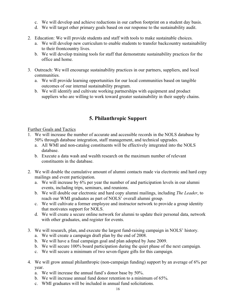- c. We will develop and achieve reductions in our carbon footprint on a student day basis.
- d. We will target other primary goals based on our response to the sustainability audit.
- 2. Education: We will provide students and staff with tools to make sustainable choices.
	- a. We will develop new curriculum to enable students to transfer backcountry sustainability to their frontcountry lives.
	- b. We will develop training tools for staff that demonstrate sustainability practices for the office and home.
- 3. Outreach: We will encourage sustainability practices in our partners, suppliers, and local communities.
	- a. We will provide learning opportunities for our local communities based on tangible outcomes of our internal sustainability program.
	- b. We will identify and cultivate working partnerships with equipment and product suppliers who are willing to work toward greater sustainability in their supply chains.

# **5. Philanthropic Support**

- 1. We will increase the number of accurate and accessible records in the NOLS database by 50% through database integration, staff management, and technical upgrades.
	- a. All WMI and non-catalog constituents will be effectively integrated into the NOLS database.
	- b. Execute a data wash and wealth research on the maximum number of relevant constituents in the database.
- 2. We will double the cumulative amount of alumni contacts made via electronic and hard copy mailings and event participation.
	- a. We will increase by 6% per year the number of and participation levels in our alumni events, including trips, seminars, and reunions.
	- b. We will double our electronic and hard copy alumni mailings, including *The Leader*, to reach our WMI graduates as part of NOLS' overall alumni group.
	- c. We will cultivate a former employee and instructor network to provide a group identity that motivates support for NOLS.
	- d. We will create a secure online network for alumni to update their personal data, network with other graduates, and register for events.
- 3. We will research, plan, and execute the largest fund-raising campaign in NOLS' history.
	- a. We will create a campaign draft plan by the end of 2008.
	- b. We will have a final campaign goal and plan adopted by June 2009.
	- b. We will secure 100% board participation during the quiet phase of the next campaign.
	- c. We will secure a minimum of two seven-figure gifts for this campaign.
- 4. We will grow annual philanthropic (non-campaign funding) support by an average of 6% per year.
	- a. We will increase the annual fund's donor base by 50%.
	- b. We will increase annual fund donor retention to a minimum of 65%.
	- c. WMI graduates will be included in annual fund solicitations.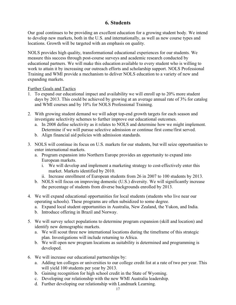## **6. Students**

Our goal continues to be providing an excellent education for a growing student body. We intend to develop new markets, both in the U.S. and internationally, as well as new course types and locations. Growth will be targeted with an emphasis on quality.

NOLS provides high quality, transformational educational experiences for our students. We measure this success through post-course surveys and academic research conducted by educational partners. We will make this education available to every student who is willing to work to attain it by increasing our outreach efforts and scholarship support. NOLS Professional Training and WMI provide a mechanism to deliver NOLS education to a variety of new and expanding markets.

- 1. To expand our educational impact and availability we will enroll up to 20% more student days by 2013. This could be achieved by growing at an average annual rate of 3% for catalog and WMI courses and by 10% for NOLS Professional Training.
- 2. With growing student demand we will adopt top-end growth targets for each season and investigate selectivity schemes to further improve our educational outcomes.
	- a. In 2008 define selectivity as it relates to NOLS and determine how we might implement. Determine if we will pursue selective admission or continue first come/first served.
	- b. Align financial aid policies with admission standards.
- 3. NOLS will continue its focus on U.S. markets for our students, but will seize opportunities to enter international markets.
	- a. Program expansion into Northern Europe provides an opportunity to expand into European markets.
		- i. We will develop and implement a marketing strategy to cost-effectively enter this market. Markets identified by 2010.
		- ii. Increase enrollment of European students from 26 in 2007 to 100 students by 2013.
	- b. NOLS will focus on improving domestic (U.S.) diversity. We will significantly increase the percentage of students from diverse backgrounds enrolled by 2013.
- 4. We will expand educational opportunities for local students (students who live near our operating schools). These programs are often subsidized to some degree.
	- a. Expand local student opportunities in Australia, New Zealand, the Yukon, and India.
	- b. Introduce offering in Brazil and Norway.
- 5. We will survey select populations to determine program expansion (skill and location) and identify new demographic markets.
	- a. We will scout three new international locations during the timeframe of this strategic plan. Investigations will include returning to Africa.
	- b. We will open new program locations as suitability is determined and programming is developed.
- 6. We will increase our educational partnerships by:
	- a. Adding ten colleges or universities to our college credit list at a rate of two per year. This will yield 100 students per year by 2013.
	- b. Gaining recognition for high school credit in the State of Wyoming.
	- c. Developing our relationship with the new WMI Australia leadership.
	- d. Further developing our relationship with Landmark Learning.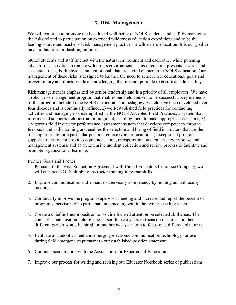## **7. Risk Management**

We will continue to promote the health and well-being of NOLS students and staff by managing the risks related to participation on extended wilderness education expeditions and to be the leading source and teacher of risk management practices in wilderness education. It is our goal to have no fatalities or disabling injuries.

NOLS students and staff interact with the natural environment and each other while pursuing adventurous activities in remote wilderness environments. This interaction presents hazards and associated risks, both physical and emotional, that are a vital element of a NOLS education. Our management of these risks is designed to balance the need to achieve our educational goals and prevent injury and illness while acknowledging that it is not possible to ensure absolute safety.

Risk management is emphasized by senior leadership and is a priority of all employees. We have a robust risk management program that enables our field courses to be successful. Key elements of this program include 1) the NOLS curriculum and pedagogy, which have been developed over four decades and is continually refined, 2) well-established field practices for conducting activities and managing risk exemplified by the NOLS Accepted Field Practices, a system that informs and supports field instructor judgment, enabling them to make appropriate decisions, 3) a vigorous field instructor performance assessment system that develops competency through feedback and skills training and enables the selection and hiring of field instructors that are the most appropriate for a particular position, course type, or location, 4) exceptional program support structure that provides equipment, food, transportation, and emergency response and management systems, and 5) an extensive incident collection and review process to facilitate and promote organizational learning.

- 1. Pursuant to the Risk Reduction Agreement with United Educators Insurance Company, we will enhance NOLS climbing instructor training in rescue skills.
- 2. Improve communication and enhance supervisory competency by holding annual faculty meetings.
- 3. Continually improve the program supervisor meeting and increase and report the percent of program supervisors who participate in a meeting within the two proceeding years.
- 4. Create a chief instructor position to provide focused attention on selected skill areas. The concept is one position held by one person for two years to focus on one area and then a different person would be hired for another two-year term to focus on a different skill area.
- 5. Evaluate and adopt current and emerging electronic communication technology for use during field emergencies pursuant to our established position statement.
- 6. Continue accreditation with the Association for Experiential Education.
- 7. Improve our process for writing and revising our Educator Notebook series of publications.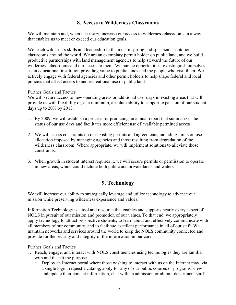## **8. Access to Wilderness Classrooms**

We will maintain and, when necessary, increase our access to wilderness classrooms in a way that enables us to meet or exceed our education goals.

We teach wilderness skills and leadership in the most inspiring and spectacular outdoor classrooms around the world. We are an exemplary permit holder on public land, and we build productive partnerships with land management agencies to help steward the future of our wilderness classrooms and our access to them. We pursue opportunities to distinguish ourselves as an educational institution providing value to public lands and the people who visit them. We actively engage with federal agencies and other permit holders to help shape federal and local policies that affect access to and recreational use of public land.

#### Further Goals and Tactics

We will secure access to new operating areas or additional user days in existing areas that will provide us with flexibility or, at a minimum, absolute ability to support expansion of our student days up to 20% by 2013.

- 1. By 2009, we will establish a process for producing an annual report that summarizes the status of our use days and facilitates more efficient use of available permitted access.
- 2. We will assess constraints on our existing permits and agreements, including limits on use allocation imposed by managing agencies and those resulting from degradation of the wilderness classroom. Where appropriate, we will implement solutions to alleviate those constraints.
- 3. When growth in student interest requires it, we will secure permits or permission to operate in new areas, which could include both public and private lands and waters.

## **9. Technology**

We will increase our ability to strategically leverage and utilize technology to advance our mission while preserving wilderness experience and values.

Information Technology is a tool and resource that enables and supports nearly every aspect of NOLS in pursuit of our mission and promotion of our values. To that end, we appropriately apply technology to attract prospective students, to learn about and effectively communicate with all members of our community, and to facilitate excellent performance in all of our staff. We maintain networks and services around the world to keep the NOLS community connected and provide for the security and integrity of the information in our care.

- 1. Reach, engage, and interact with NOLS constituencies using technologies they are familiar with and that fit the purpose.
	- a. Deploy an Internet portal where those wishing to interact with us on the Internet may, via a single login, request a catalog, apply for any of our public courses or programs, view and update their contact information, chat with an admission or alumni department staff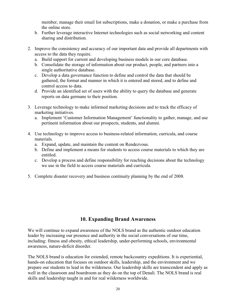member, manage their email list subscriptions, make a donation, or make a purchase from the online store.

- b. Further leverage interactive Internet technologies such as social networking and content sharing and distribution.
- 2. Improve the consistency and accuracy of our important data and provide all departments with access to the data they require.
	- a. Build support for current and developing business models in our core database.
	- b. Consolidate the storage of information about our product, people, and partners into a single authoritative database.
	- c. Develop a data governance function to define and control the data that should be gathered, the format and manner in which it is entered and stored, and to define and control access to data.
	- d. Provide an identified set of users with the ability to query the database and generate reports on data germane to their position.
- 3. Leverage technology to make informed marketing decisions and to track the efficacy of marketing initiatives.
	- a. Implement 'Customer Information Management' functionality to gather, manage, and use pertinent information about our prospects, students, and alumni.
- 4. Use technology to improve access to business-related information, curricula, and course materials.
	- a. Expand, update, and maintain the content on Rendezvous.
	- b. Define and implement a means for students to access course materials to which they are entitled.
	- c. Develop a process and define responsibility for reaching decisions about the technology we use in the field to access course materials and curricula.
- 5. Complete disaster recovery and business continuity planning by the end of 2008.

## **10. Expanding Brand Awareness**

We will continue to expand awareness of the NOLS brand as the authentic outdoor education leader by increasing our presence and authority in the social conversations of our time, including: fitness and obesity, ethical leadership, under-performing schools, environmental awareness, nature-deficit disorder.

The NOLS brand is education for extended, remote backcountry expeditions. It is experiential, hands-on education that focuses on outdoor skills, leadership, and the environment and we prepare our students to lead in the wilderness. Our leadership skills are transcendent and apply as well in the classroom and boardroom as they do on the top of Denali. The NOLS brand is real skills and leadership taught in and for real wilderness worldwide.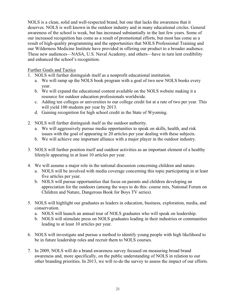NOLS is a clean, solid and well-respected brand, but one that lacks the awareness that it deserves. NOLS is well known in the outdoor industry and in many educational circles. General awareness of the school is weak, but has increased substantially in the last few years. Some of our increased recognition has come as a result of promotional efforts, but most has come as a result of high-quality programming and the opportunities that NOLS Professional Training and our Wilderness Medicine Institute have provided in offering our product to a broader audience. These new audiences—NASA, U.S. Naval Academy, and others—have in turn lent credibility and enhanced the school's recognition.

- 1. NOLS will further distinguish itself as a nonprofit educational institution.
	- a. We will ramp up the NOLS book program with a goal of two new NOLS books every year.
	- b. We will expand the educational content available on the NOLS website making it a resource for outdoor education professionals worldwide.
	- c. Adding ten colleges or universities to our college credit list at a rate of two per year. This will yield 100 students per year by 2013.
	- d. Gaining recognition for high school credit in the State of Wyoming.
- 2. NOLS will further distinguish itself as the outdoor authority.
	- a. We will aggressively pursue media opportunities to speak on skills, health, and risk issues with the goal of appearing in 20 articles per year dealing with these subjects.
	- b. We will achieve one important alliance with a major player in the outdoor industry.
- 3. NOLS will further position itself and outdoor activities as an important element of a healthy lifestyle appearing in at least 10 articles per year.
- 4. We will assume a major role in the national discussion concerning children and nature.
	- a. NOLS will be involved with media coverage concerning this topic participating in at least five articles per year.
	- b. NOLS will pursue opportunities that focus on parents and children developing an appreciation for the outdoors (among the ways to do this: course mix, National Forum on Children and Nature, Dangerous Book for Boys TV series).
- 5. NOLS will highlight our graduates as leaders in education, business, exploration, media, and conservation.
	- a. NOLS will launch an annual tour of NOLS graduates who will speak on leadership.
	- b. NOLS will stimulate press on NOLS graduates leading in their industries or communities leading to at least 10 articles per year.
- 6. NOLS will investigate and pursue a method to identify young people with high likelihood to be in future leadership roles and recruit them to NOLS courses.
- 7. In 2009, NOLS will do a brand awareness survey focused on measuring broad brand awareness and, more specifically, on the public understanding of NOLS in relation to our other branding priorities. In 2013, we will re-do the survey to assess the impact of our efforts.